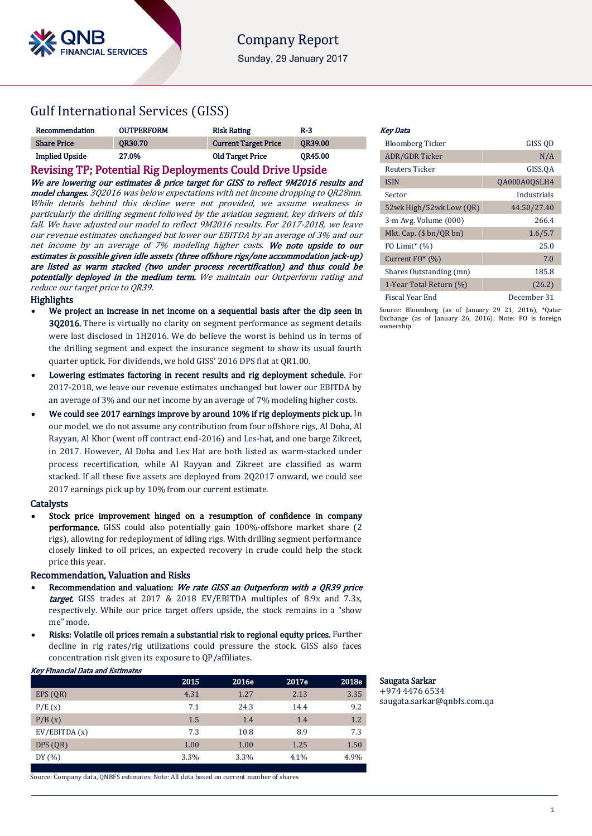# Gulf International Services (GISS)

| Recommendation                                            | <b>OUTPERFORM</b> | <b>Risk Rating</b>          | $R-3$          |  |
|-----------------------------------------------------------|-------------------|-----------------------------|----------------|--|
| <b>Share Price</b>                                        | <b>OR30.70</b>    | <b>Current Target Price</b> | <b>OR39.00</b> |  |
| <b>Implied Upside</b>                                     | 27.0%             | <b>Old Target Price</b>     | <b>OR45.00</b> |  |
| Revising TP; Potential Rig Deployments Could Drive Upside |                   |                             |                |  |

We are lowering our estimates & price target for GISS to reflect 9M2016 results and model changes. 3Q2016 was below expectations with net income dropping to QR28mn. While details behind this decline were not provided, we assume weakness in particularly the drilling segment followed by the aviation segment, key drivers of this fall. We have adjusted our model to reflect 9M2016 results. For 2017-2018, we leave our revenue estimates unchanged but lower our EBITDA by an average of 3% and our net income by an average of 7% modeling higher costs. We note upside to our estimates is possible given idle assets (three offshore rigs/one accommodation jack-up) are listed as warm stacked (two under process recertification) and thus could be potentially deployed in the medium term. We maintain our Outperform rating and reduce our target price to QR39.

**Highlights** 

- We project an increase in net income on a sequential basis after the dip seen in 3Q2016. There is virtually no clarity on segment performance as segment details were last disclosed in 1H2016. We do believe the worst is behind us in terms of the drilling segment and expect the insurance segment to show its usual fourth quarter uptick. For dividends, we hold GISS' 2016 DPS flat at QR1.00.
- Lowering estimates factoring in recent results and rig deployment schedule. For 2017-2018, we leave our revenue estimates unchanged but lower our EBITDA by an average of 3% and our net income by an average of 7% modeling higher costs.
- We could see 2017 earnings improve by around 10% if rig deployments pick up. In our model, we do not assume any contribution from four offshore rigs, Al Doha, Al Rayyan, Al Khor (went off contract end-2016) and Les-hat, and one barge Zikreet, in 2017. However, Al Doha and Les Hat are both listed as warm-stacked under process recertification, while Al Rayyan and Zikreet are classified as warm stacked. If all these five assets are deployed from 2Q2017 onward, we could see 2017 earnings pick up by 10% from our current estimate.

## **Catalysts**

 Stock price improvement hinged on a resumption of confidence in company performance. GISS could also potentially gain 100%-offshore market share (2 rigs), allowing for redeployment of idling rigs. With drilling segment performance closely linked to oil prices, an expected recovery in crude could help the stock price this year.

## Recommendation, Valuation and Risks

- Recommendation and valuation: We rate GISS an Outperform with a QR39 price target. GISS trades at 2017 & 2018 EV/EBITDA multiples of 8.9x and 7.3x, respectively. While our price target offers upside, the stock remains in a "show me" mode.
- Risks: Volatile oil prices remain a substantial risk to regional equity prices. Further decline in rig rates/rig utilizations could pressure the stock. GISS also faces concentration risk given its exposure to QP/affiliates.

## Key Financial Data and Estimates

|               | 2015 | 2016e | 2017e | 2018e |
|---------------|------|-------|-------|-------|
| EPS(QR)       | 4.31 | 1.27  | 2.13  | 3.35  |
| P/E(x)        | 7.1  | 24.3  | 14.4  | 9.2   |
| P/B(x)        | 1.5  | 1.4   | 1.4   | 1.2   |
| EV/EBITDA (x) | 7.3  | 10.8  | 8.9   | 7.3   |
| DPS (QR)      | 1.00 | 1.00  | 1.25  | 1.50  |
| DY $(%)$      | 3.3% | 3.3%  | 4.1%  | 4.9%  |

Source: Company data, QNBFS estimates; Note: All data based on current number of shares

### Key Data

| <b>Bloomberg Ticker</b>      | GISS QD             |
|------------------------------|---------------------|
| <b>ADR/GDR Ticker</b>        | N/A                 |
| Reuters Ticker               | GISS.QA             |
| <b>ISIN</b>                  | <b>QA000A0Q6LH4</b> |
| Sector                       | Industrials         |
| 52wk High/52wk Low (QR)      | 44.50/27.40         |
| 3-m Avg. Volume (000)        | 266.4               |
| Mkt. Cap. $(\$bn/QRbn)$      | 1.6/5.7             |
| FO Limit <sup>*</sup> $(\%)$ | 25.0                |
| Current $FO^*(\%)$           | 7.0                 |
| Shares Outstanding (mn)      | 185.8               |
| 1-Year Total Return (%)      | (26.2)              |
| Fiscal Year End              | December 31         |

Source: Bloomberg (as of January 29 21, 2016), \*Qatar Exchange (as of January 26, 2016); Note: FO is foreign ownership

Saugata Sarkar +974 4476 6534 [saugata.sarkar@qnbfs.com.qa](mailto:saugata.sarkar@qnbfs.com.qa)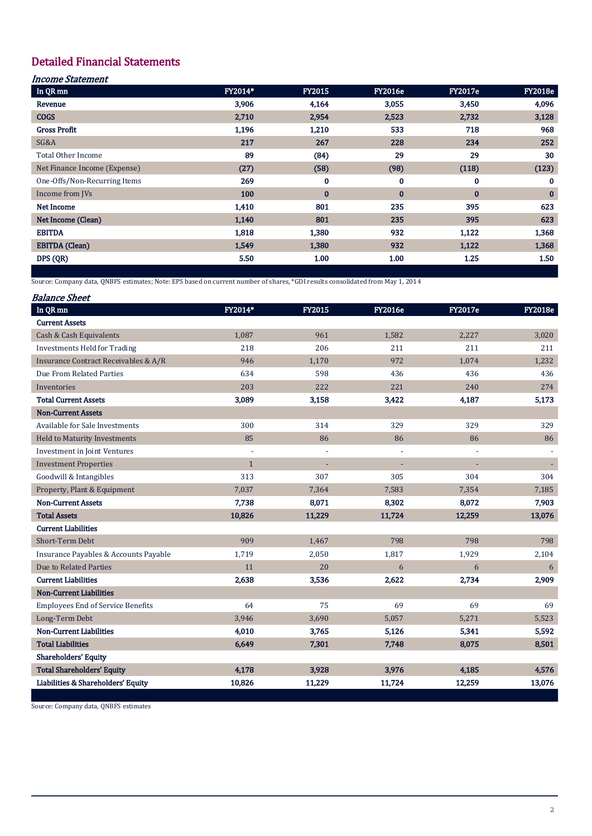# Detailed Financial Statements

## Income Statement

| In QR <sub>mn</sub>          | FY2014* | <b>FY2015</b> | <b>FY2016e</b> | <b>FY2017e</b> | <b>FY2018e</b> |
|------------------------------|---------|---------------|----------------|----------------|----------------|
| Revenue                      | 3,906   | 4,164         | 3,055          | 3,450          | 4,096          |
| <b>COGS</b>                  | 2,710   | 2,954         | 2,523          | 2,732          | 3,128          |
| <b>Gross Profit</b>          | 1,196   | 1,210         | 533            | 718            | 968            |
| SG&A                         | 217     | 267           | 228            | 234            | 252            |
| <b>Total Other Income</b>    | 89      | (84)          | 29             | 29             | 30             |
| Net Finance Income (Expense) | (27)    | (58)          | (98)           | (118)          | (123)          |
| One-Offs/Non-Recurring Items | 269     | $\bf{0}$      | 0              | 0              | $\bf{0}$       |
| Income from JVs              | 100     | $\bf{0}$      | $\bf{0}$       | $\bf{0}$       | $\bf{0}$       |
| <b>Net Income</b>            | 1,410   | 801           | 235            | 395            | 623            |
| Net Income (Clean)           | 1,140   | 801           | 235            | 395            | 623            |
| <b>EBITDA</b>                | 1,818   | 1,380         | 932            | 1,122          | 1,368          |
| <b>EBITDA</b> (Clean)        | 1,549   | 1,380         | 932            | 1,122          | 1,368          |
| DPS (QR)                     | 5.50    | 1.00          | 1.00           | 1.25           | 1.50           |

Source: Company data, QNBFS estimates; Note: EPS based on current number of shares, \*GDI results consolidated from May 1, 2014

| <i><b>Balance Sheet</b></i>              |              |        |                          |                |                |
|------------------------------------------|--------------|--------|--------------------------|----------------|----------------|
| In QR <sub>mn</sub>                      | FY2014*      | FY2015 | <b>FY2016e</b>           | <b>FY2017e</b> | <b>FY2018e</b> |
| <b>Current Assets</b>                    |              |        |                          |                |                |
| Cash & Cash Equivalents                  | 1,087        | 961    | 1,582                    | 2,227          | 3,020          |
| <b>Investments Held for Trading</b>      | 218          | 206    | 211                      | 211            | 211            |
| Insurance Contract Receivables & A/R     | 946          | 1,170  | 972                      | 1,074          | 1,232          |
| Due From Related Parties                 | 634          | 598    | 436                      | 436            | 436            |
| Inventories                              | 203          | 222    | 221                      | 240            | 274            |
| <b>Total Current Assets</b>              | 3,089        | 3,158  | 3,422                    | 4,187          | 5,173          |
| <b>Non-Current Assets</b>                |              |        |                          |                |                |
| Available for Sale Investments           | 300          | 314    | 329                      | 329            | 329            |
| <b>Held to Maturity Investments</b>      | 85           | 86     | 86                       | 86             | 86             |
| <b>Investment in Joint Ventures</b>      | ä,           |        | $\overline{\phantom{a}}$ |                |                |
| <b>Investment Properties</b>             | $\mathbf{1}$ |        | ÷,                       |                | ÷              |
| Goodwill & Intangibles                   | 313          | 307    | 305                      | 304            | 304            |
| Property, Plant & Equipment              | 7,037        | 7,364  | 7,583                    | 7,354          | 7,185          |
| <b>Non-Current Assets</b>                | 7,738        | 8,071  | 8,302                    | 8,072          | 7,903          |
| <b>Total Assets</b>                      | 10,826       | 11,229 | 11,724                   | 12,259         | 13,076         |
| <b>Current Liabilities</b>               |              |        |                          |                |                |
| <b>Short-Term Debt</b>                   | 909          | 1,467  | 798                      | 798            | 798            |
| Insurance Payables & Accounts Payable    | 1,719        | 2,050  | 1,817                    | 1,929          | 2,104          |
| Due to Related Parties                   | 11           | 20     | 6                        | 6              | 6              |
| <b>Current Liabilities</b>               | 2,638        | 3,536  | 2,622                    | 2.734          | 2,909          |
| <b>Non-Current Liabilities</b>           |              |        |                          |                |                |
| <b>Employees End of Service Benefits</b> | 64           | 75     | 69                       | 69             | 69             |
| Long-Term Debt                           | 3,946        | 3,690  | 5,057                    | 5,271          | 5,523          |
| <b>Non-Current Liabilities</b>           | 4,010        | 3,765  | 5,126                    | 5,341          | 5,592          |
| <b>Total Liabilities</b>                 | 6,649        | 7,301  | 7,748                    | 8,075          | 8,501          |
| <b>Shareholders' Equity</b>              |              |        |                          |                |                |
| <b>Total Shareholders' Equity</b>        | 4,178        | 3,928  | 3,976                    | 4,185          | 4,576          |
| Liabilities & Shareholders' Equity       | 10,826       | 11,229 | 11,724                   | 12,259         | 13,076         |

Source: Company data, QNBFS estimates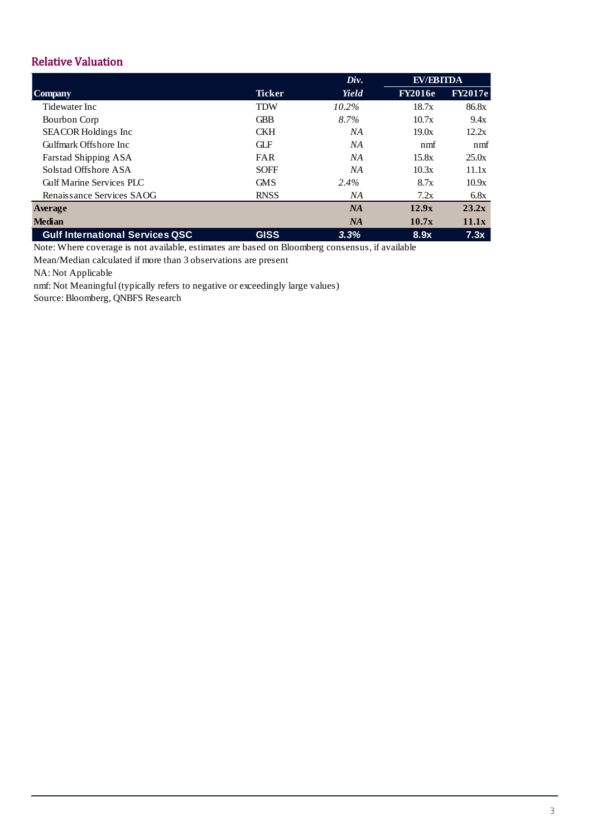# Relative Valuation

|                                        |               | Div.     | <b>EV/EBITDA</b> |                |
|----------------------------------------|---------------|----------|------------------|----------------|
| <b>Company</b>                         | <b>Ticker</b> | Yield    | <b>FY2016e</b>   | <b>FY2017e</b> |
| Tidewater Inc.                         | <b>TDW</b>    | $10.2\%$ | 18.7x            | 86.8x          |
| Bourbon Corp                           | <b>GBB</b>    | 8.7%     | 10.7x            | 9.4x           |
| <b>SEACOR Holdings Inc</b>             | <b>CKH</b>    | NA       | 19.0x            | 12.2x          |
| Gulfmark Offshore Inc.                 | <b>GLF</b>    | NA       | nmf              | n <sub>m</sub> |
| <b>Farstad Shipping ASA</b>            | <b>FAR</b>    | NА       | 15.8x            | 25.0x          |
| Solstad Offshore ASA                   | <b>SOFF</b>   | NA       | 10.3x            | 11.1x          |
| Gulf Marine Services PLC               | <b>GMS</b>    | 2.4%     | 8.7x             | 10.9x          |
| Renaissance Services SAOG              | <b>RNSS</b>   | NА       | 7.2x             | 6.8x           |
| Average                                |               | NA       | 12.9x            | 23.2x          |
| <b>Median</b>                          |               | NA       | 10.7x            | 11.1x          |
| <b>Gulf International Services QSC</b> | <b>GISS</b>   | 3.3%     | 8.9x             | 7.3x           |

Note: Where coverage is not available, estimates are based on Bloomberg consensus, if available

Mean/Median calculated if more than 3 observations are present

NA: Not Applicable

nmf: Not Meaningful (typically refers to negative or exceedingly large values)

Source: Bloomberg, QNBFS Research